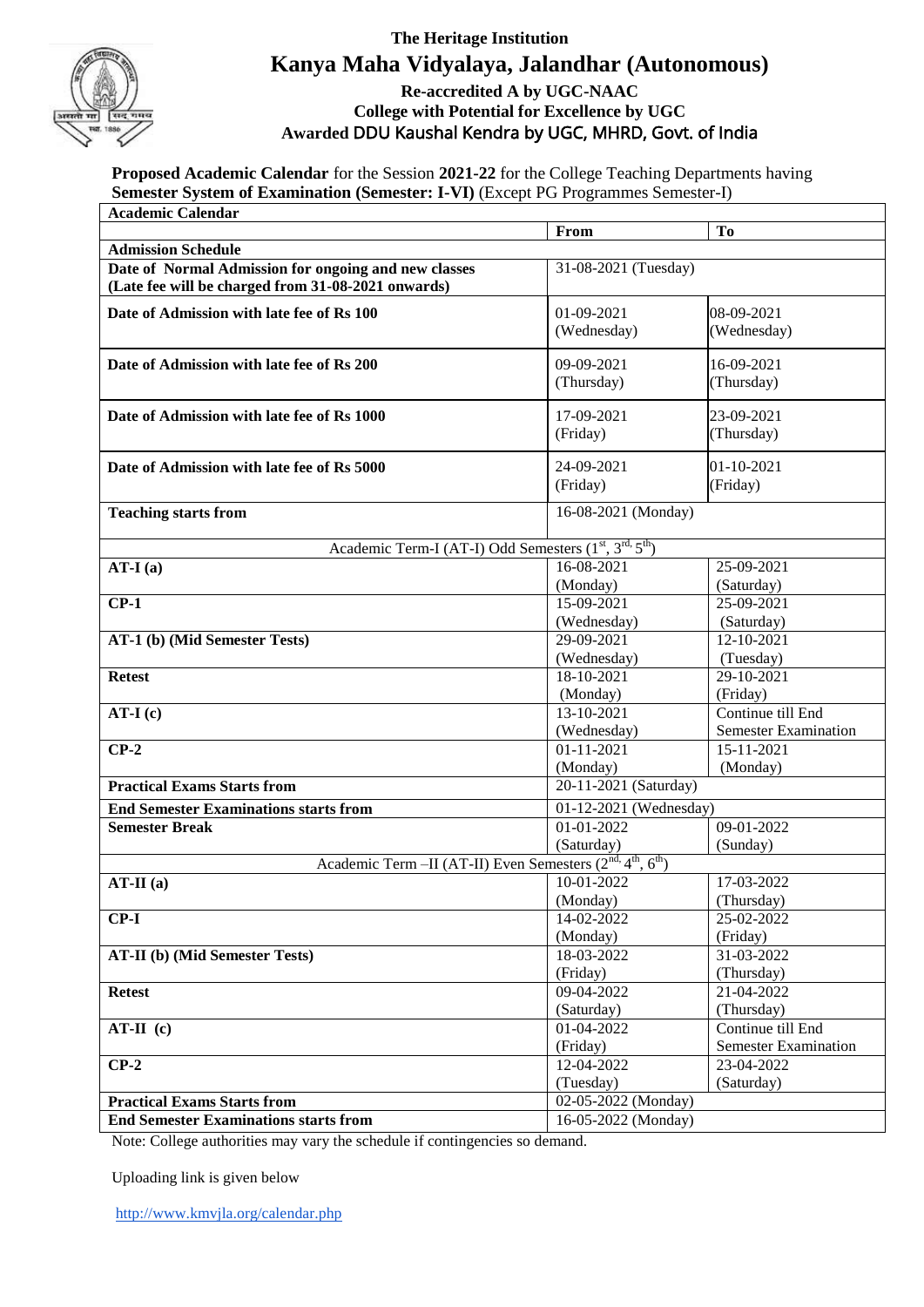

## **The Heritage Institution Kanya Maha Vidyalaya, Jalandhar (Autonomous)**

## **Re-accredited A by UGC-NAAC College with Potential for Excellence by UGC Awarded** DDU Kaushal Kendra by UGC, MHRD, Govt. of India

**Proposed Academic Calendar** for the Session **2021-22** for the College Teaching Departments having **Semester System of Examination (Semester: I-VI)** (Except PG Programmes Semester-I) **Academic Calendar**

| Atauchiit Calchual                                                                                         |                                   |                                                          |  |
|------------------------------------------------------------------------------------------------------------|-----------------------------------|----------------------------------------------------------|--|
|                                                                                                            | From                              | To                                                       |  |
| <b>Admission Schedule</b>                                                                                  |                                   |                                                          |  |
| Date of Normal Admission for ongoing and new classes<br>(Late fee will be charged from 31-08-2021 onwards) | 31-08-2021 (Tuesday)              |                                                          |  |
| Date of Admission with late fee of Rs 100                                                                  | 01-09-2021                        | 08-09-2021                                               |  |
|                                                                                                            | (Wednesday)                       | (Wednesday)                                              |  |
|                                                                                                            |                                   |                                                          |  |
| Date of Admission with late fee of Rs 200                                                                  | 09-09-2021                        | 16-09-2021                                               |  |
|                                                                                                            | (Thursday)                        | (Thursday)                                               |  |
| Date of Admission with late fee of Rs 1000                                                                 | 17-09-2021                        | 23-09-2021                                               |  |
|                                                                                                            | (Friday)                          | (Thursday)                                               |  |
|                                                                                                            |                                   |                                                          |  |
| Date of Admission with late fee of Rs 5000                                                                 | 24-09-2021                        | 01-10-2021                                               |  |
|                                                                                                            | (Friday)                          | (Friday)                                                 |  |
| <b>Teaching starts from</b>                                                                                | 16-08-2021 (Monday)               |                                                          |  |
|                                                                                                            |                                   |                                                          |  |
| Academic Term-I (AT-I) Odd Semesters (1 <sup>st</sup> , 3 <sup>rd, 5th</sup> )                             |                                   |                                                          |  |
| $AT-I(a)$                                                                                                  | 16-08-2021                        | 25-09-2021                                               |  |
|                                                                                                            | (Monday)                          | (Saturday)                                               |  |
| $CP-1$                                                                                                     | 15-09-2021                        | $25-09-2021$                                             |  |
|                                                                                                            | (Wednesday)                       | (Saturday)                                               |  |
| AT-1 (b) (Mid Semester Tests)                                                                              | 29-09-2021                        | $12 - 10 - 2021$                                         |  |
|                                                                                                            | (Wednesday)                       | (Tuesday)                                                |  |
| <b>Retest</b>                                                                                              | 18-10-2021                        | 29-10-2021                                               |  |
|                                                                                                            | (Monday)                          | (Friday)                                                 |  |
| $AT-I(c)$                                                                                                  | $13 - 10 - 2021$                  | Continue till End                                        |  |
|                                                                                                            | (Wednesday)<br>$01 - 11 - 2021$   | <b>Semester Examination</b><br>15-11-2021                |  |
| $CP-2$                                                                                                     |                                   | (Monday)                                                 |  |
| <b>Practical Exams Starts from</b>                                                                         | (Monday)<br>20-11-2021 (Saturday) |                                                          |  |
|                                                                                                            |                                   |                                                          |  |
| <b>End Semester Examinations starts from</b><br><b>Semester Break</b>                                      |                                   | 01-12-2021 (Wednesday)<br>$01 - 01 - 2022$<br>09-01-2022 |  |
|                                                                                                            | (Saturday)                        | (Sunday)                                                 |  |
| Academic Term - II (AT-II) Even Semesters (2 <sup>nd, 4th</sup> , 6 <sup>th</sup> )                        |                                   |                                                          |  |
| $AT-II(a)$                                                                                                 | $10-01-2022$                      | 17-03-2022                                               |  |
|                                                                                                            | (Monday)                          | (Thursday)                                               |  |
| $CP-I$                                                                                                     | 14-02-2022                        | 25-02-2022                                               |  |
|                                                                                                            | (Monday)                          | (Friday)                                                 |  |
| <b>AT-II</b> (b) (Mid Semester Tests)                                                                      | 18-03-2022                        | 31-03-2022                                               |  |
|                                                                                                            | (Friday)                          | (Thursday)                                               |  |
| <b>Retest</b>                                                                                              | 09-04-2022                        | 21-04-2022                                               |  |
|                                                                                                            | (Saturday)                        | (Thursday)                                               |  |
| $AT-II (c)$                                                                                                | 01-04-2022                        | Continue till End                                        |  |
|                                                                                                            | (Friday)                          | <b>Semester Examination</b>                              |  |
| $CP-2$                                                                                                     | 12-04-2022                        | 23-04-2022                                               |  |
|                                                                                                            | (Tuesday)                         | (Saturday)                                               |  |
| <b>Practical Exams Starts from</b>                                                                         |                                   | 02-05-2022 (Monday)                                      |  |
| <b>End Semester Examinations starts from</b>                                                               |                                   | 16-05-2022 (Monday)                                      |  |

Note: College authorities may vary the schedule if contingencies so demand.

Uploading link is given below